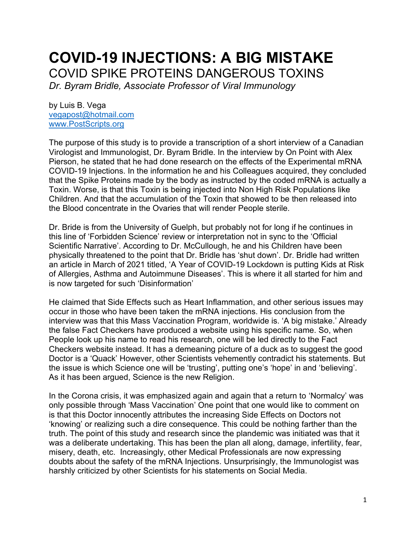# **COVID-19 INJECTIONS: A BIG MISTAKE** COVID SPIKE PROTEINS DANGEROUS TOXINS

*Dr. Byram Bridle, Associate Professor of Viral Immunology*

by Luis B. Vega [vegapost@hotmail.com](mailto:vegapost@hotmail.com) [www.PostScripts.org](http://www.postscripts.org/)

The purpose of this study is to provide a transcription of a short interview of a Canadian Virologist and Immunologist, Dr. Byram Bridle. In the interview by On Point with Alex Pierson, he stated that he had done research on the effects of the Experimental mRNA COVID-19 Injections. In the information he and his Colleagues acquired, they concluded that the Spike Proteins made by the body as instructed by the coded mRNA is actually a Toxin. Worse, is that this Toxin is being injected into Non High Risk Populations like Children. And that the accumulation of the Toxin that showed to be then released into the Blood concentrate in the Ovaries that will render People sterile.

Dr. Bride is from the University of Guelph, but probably not for long if he continues in this line of 'Forbidden Science' review or interpretation not in sync to the 'Official Scientific Narrative'. According to Dr. McCullough, he and his Children have been physically threatened to the point that Dr. Bridle has 'shut down'. Dr. Bridle had written an article in March of 2021 titled, 'A Year of COVID-19 Lockdown is putting Kids at Risk of Allergies, Asthma and Autoimmune Diseases'. This is where it all started for him and is now targeted for such 'Disinformation'

He claimed that Side Effects such as Heart Inflammation, and other serious issues may occur in those who have been taken the mRNA injections. His conclusion from the interview was that this Mass Vaccination Program, worldwide is. 'A big mistake.' Already the false Fact Checkers have produced a website using his specific name. So, when People look up his name to read his research, one will be led directly to the Fact Checkers website instead. It has a demeaning picture of a duck as to suggest the good Doctor is a 'Quack' However, other Scientists vehemently contradict his statements. But the issue is which Science one will be 'trusting', putting one's 'hope' in and 'believing'. As it has been argued, Science is the new Religion.

In the Corona crisis, it was emphasized again and again that a return to 'Normalcy' was only possible through 'Mass Vaccination' One point that one would like to comment on is that this Doctor innocently attributes the increasing Side Effects on Doctors not 'knowing' or realizing such a dire consequence. This could be nothing farther than the truth. The point of this study and research since the plandemic was initiated was that it was a deliberate undertaking. This has been the plan all along, damage, infertility, fear, misery, death, etc. Increasingly, other Medical Professionals are now expressing doubts about the safety of the mRNA Injections. Unsurprisingly, the Immunologist was harshly criticized by other Scientists for his statements on Social Media.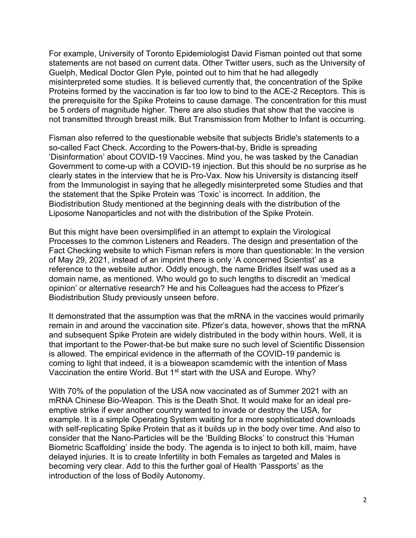For example, University of Toronto Epidemiologist David Fisman pointed out that some statements are not based on current data. Other Twitter users, such as the University of Guelph, Medical Doctor Glen Pyle, pointed out to him that he had allegedly misinterpreted some studies. It is believed currently that, the concentration of the Spike Proteins formed by the vaccination is far too low to bind to the ACE-2 Receptors. This is the prerequisite for the Spike Proteins to cause damage. The concentration for this must be 5 orders of magnitude higher. There are also studies that show that the vaccine is not transmitted through breast milk. But Transmission from Mother to Infant is occurring.

Fisman also referred to the questionable website that subjects Bridle's statements to a so-called Fact Check. According to the Powers-that-by, Bridle is spreading 'Disinformation' about COVID-19 Vaccines. Mind you, he was tasked by the Canadian Government to come-up with a COVID-19 injection. But this should be no surprise as he clearly states in the interview that he is Pro-Vax. Now his University is distancing itself from the Immunologist in saying that he allegedly misinterpreted some Studies and that the statement that the Spike Protein was 'Toxic' is incorrect. In addition, the Biodistribution Study mentioned at the beginning deals with the distribution of the Liposome Nanoparticles and not with the distribution of the Spike Protein.

But this might have been oversimplified in an attempt to explain the Virological Processes to the common Listeners and Readers. The design and presentation of the Fact Checking website to which Fisman refers is more than questionable: In the version of May 29, 2021, instead of an imprint there is only 'A concerned Scientist' as a reference to the website author. Oddly enough, the name Bridles itself was used as a domain name, as mentioned. Who would go to such lengths to discredit an 'medical opinion' or alternative research? He and his Colleagues had the access to Pfizer's Biodistribution Study previously unseen before.

It demonstrated that the assumption was that the mRNA in the vaccines would primarily remain in and around the vaccination site. Pfizer's data, however, shows that the mRNA and subsequent Spike Protein are widely distributed in the body within hours. Well, it is that important to the Power-that-be but make sure no such level of Scientific Dissension is allowed. The empirical evidence in the aftermath of the COVID-19 pandemic is coming to light that indeed, it is a bioweapon scamdemic with the intention of Mass Vaccination the entire World. But 1<sup>st</sup> start with the USA and Europe. Why?

With 70% of the population of the USA now vaccinated as of Summer 2021 with an mRNA Chinese Bio-Weapon. This is the Death Shot. It would make for an ideal preemptive strike if ever another country wanted to invade or destroy the USA, for example. It is a simple Operating System waiting for a more sophisticated downloads with self-replicating Spike Protein that as it builds up in the body over time. And also to consider that the Nano-Particles will be the 'Building Blocks' to construct this 'Human Biometric Scaffolding' inside the body. The agenda is to inject to both kill, maim, have delayed injuries. It is to create Infertility in both Females as targeted and Males is becoming very clear. Add to this the further goal of Health 'Passports' as the introduction of the loss of Bodily Autonomy.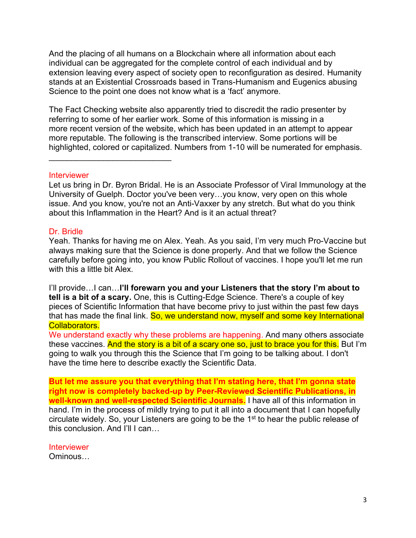And the placing of all humans on a Blockchain where all information about each individual can be aggregated for the complete control of each individual and by extension leaving every aspect of society open to reconfiguration as desired. Humanity stands at an Existential Crossroads based in Trans-Humanism and Eugenics abusing Science to the point one does not know what is a 'fact' anymore.

The Fact Checking website also apparently tried to discredit the radio presenter by referring to some of her earlier work. Some of this information is missing in a more recent version of the website, which has been updated in an attempt to appear more reputable. The following is the transcribed interview. Some portions will be highlighted, colored or capitalized. Numbers from 1-10 will be numerated for emphasis.

## **Interviewer**

\_\_\_\_\_\_\_\_\_\_\_\_\_\_\_\_\_\_\_\_\_\_\_\_\_\_\_

Let us bring in Dr. Byron Bridal. He is an Associate Professor of Viral Immunology at the University of Guelph. Doctor you've been very…you know, very open on this whole issue. And you know, you're not an Anti-Vaxxer by any stretch. But what do you think about this Inflammation in the Heart? And is it an actual threat?

## Dr. Bridle

Yeah. Thanks for having me on Alex. Yeah. As you said, I'm very much Pro-Vaccine but always making sure that the Science is done properly. And that we follow the Science carefully before going into, you know Public Rollout of vaccines. I hope you'll let me run with this a little bit Alex.

I'll provide…I can…**I'll forewarn you and your Listeners that the story I'm about to tell is a bit of a scary.** One, this is Cutting-Edge Science. There's a couple of key pieces of Scientific Information that have become privy to just within the past few days that has made the final link. So, we understand now, myself and some key International Collaborators.

We understand exactly why these problems are happening. And many others associate these vaccines. And the story is a bit of a scary one so, just to brace you for this. But I'm going to walk you through this the Science that I'm going to be talking about. I don't have the time here to describe exactly the Scientific Data.

**But let me assure you that everything that I'm stating here, that I'm gonna state right now is completely backed-up by Peer-Reviewed Scientific Publications, in well-known and well-respected Scientific Journals.** I have all of this information in hand. I'm in the process of mildly trying to put it all into a document that I can hopefully circulate widely. So, your Listeners are going to be the 1<sup>st</sup> to hear the public release of this conclusion. And I'll I can…

**Interviewer** Ominous…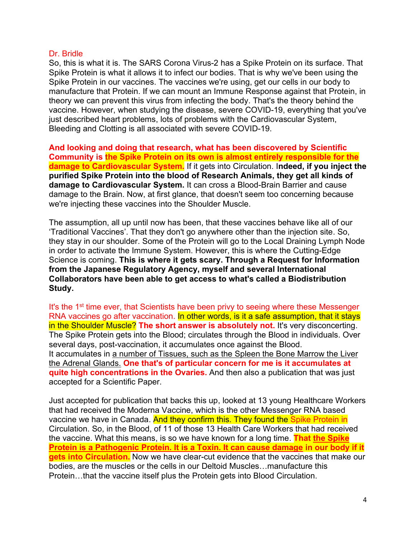#### Dr. Bridle

So, this is what it is. The SARS Corona Virus-2 has a Spike Protein on its surface. That Spike Protein is what it allows it to infect our bodies. That is why we've been using the Spike Protein in our vaccines. The vaccines we're using, get our cells in our body to manufacture that Protein. If we can mount an Immune Response against that Protein, in theory we can prevent this virus from infecting the body. That's the theory behind the vaccine. However, when studying the disease, severe COVID-19, everything that you've just described heart problems, lots of problems with the Cardiovascular System, Bleeding and Clotting is all associated with severe COVID-19.

**And looking and doing that research, what has been discovered by Scientific Community is the Spike Protein on its own is almost entirely responsible for the damage to Cardiovascular System.** If it gets into Circulation. I**ndeed, if you inject the purified Spike Protein into the blood of Research Animals, they get all kinds of damage to Cardiovascular System.** It can cross a Blood-Brain Barrier and cause damage to the Brain. Now, at first glance, that doesn't seem too concerning because we're injecting these vaccines into the Shoulder Muscle.

The assumption, all up until now has been, that these vaccines behave like all of our 'Traditional Vaccines'. That they don't go anywhere other than the injection site. So, they stay in our shoulder. Some of the Protein will go to the Local Draining Lymph Node in order to activate the Immune System. However, this is where the Cutting-Edge Science is coming. **This is where it gets scary. Through a Request for Information from the Japanese Regulatory Agency, myself and several International Collaborators have been able to get access to what's called a Biodistribution Study.** 

It's the 1<sup>st</sup> time ever, that Scientists have been privy to seeing where these Messenger RNA vaccines go after vaccination. In other words, is it a safe assumption, that it stays in the Shoulder Muscle? **The short answer is absolutely not.** It's very disconcerting. The Spike Protein gets into the Blood; circulates through the Blood in individuals. Over several days, post-vaccination, it accumulates once against the Blood. It accumulates in a number of Tissues, such as the Spleen the Bone Marrow the Liver the Adrenal Glands. **One that's of particular concern for me is it accumulates at quite high concentrations in the Ovaries.** And then also a publication that was just accepted for a Scientific Paper.

Just accepted for publication that backs this up, looked at 13 young Healthcare Workers that had received the Moderna Vaccine, which is the other Messenger RNA based vaccine we have in Canada. And they confirm this. They found the Spike Protein in Circulation. So, in the Blood, of 11 of those 13 Health Care Workers that had received the vaccine. What this means, is so we have known for a long time. **That the Spike Protein is a Pathogenic Protein. It is a Toxin. It can cause damage in our body if it gets into Circulation.** Now we have clear-cut evidence that the vaccines that make our bodies, are the muscles or the cells in our Deltoid Muscles…manufacture this Protein…that the vaccine itself plus the Protein gets into Blood Circulation.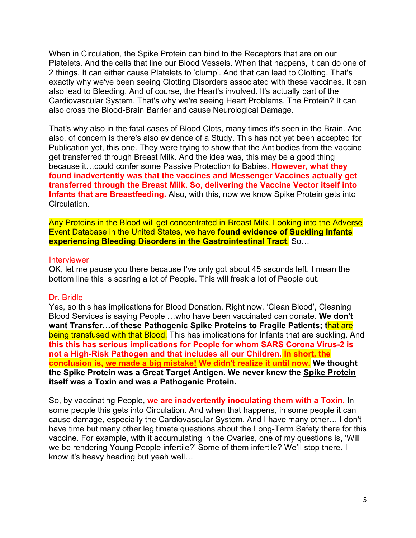When in Circulation, the Spike Protein can bind to the Receptors that are on our Platelets. And the cells that line our Blood Vessels. When that happens, it can do one of 2 things. It can either cause Platelets to 'clump'. And that can lead to Clotting. That's exactly why we've been seeing Clotting Disorders associated with these vaccines. It can also lead to Bleeding. And of course, the Heart's involved. It's actually part of the Cardiovascular System. That's why we're seeing Heart Problems. The Protein? It can also cross the Blood-Brain Barrier and cause Neurological Damage.

That's why also in the fatal cases of Blood Clots, many times it's seen in the Brain. And also, of concern is there's also evidence of a Study. This has not yet been accepted for Publication yet, this one. They were trying to show that the Antibodies from the vaccine get transferred through Breast Milk. And the idea was, this may be a good thing because it…could confer some Passive Protection to Babies. **However, what they found inadvertently was that the vaccines and Messenger Vaccines actually get transferred through the Breast Milk. So, delivering the Vaccine Vector itself into Infants that are Breastfeeding.** Also, with this, now we know Spike Protein gets into Circulation.

Any Proteins in the Blood will get concentrated in Breast Milk. Looking into the Adverse Event Database in the United States, we have **found evidence of Suckling Infants experiencing Bleeding Disorders in the Gastrointestinal Tract**. So…

#### **Interviewer**

OK, let me pause you there because I've only got about 45 seconds left. I mean the bottom line this is scaring a lot of People. This will freak a lot of People out.

#### Dr. Bridle

Yes, so this has implications for Blood Donation. Right now, 'Clean Blood', Cleaning Blood Services is saying People …who have been vaccinated can donate. **We don't want Transfer…of these Pathogenic Spike Proteins to Fragile Patients; t**hat are being transfused with that Blood. This has implications for Infants that are suckling. And **this this has serious implications for People for whom SARS Corona Virus-2 is not a High-Risk Pathogen and that includes all our Children. In short, the conclusion is, we made a big mistake! We didn't realize it until now. We thought the Spike Protein was a Great Target Antigen. We never knew the Spike Protein itself was a Toxin and was a Pathogenic Protein.**

So, by vaccinating People, **we are inadvertently inoculating them with a Toxin.** In some people this gets into Circulation. And when that happens, in some people it can cause damage, especially the Cardiovascular System. And I have many other… I don't have time but many other legitimate questions about the Long-Term Safety there for this vaccine. For example, with it accumulating in the Ovaries, one of my questions is, 'Will we be rendering Young People infertile?' Some of them infertile? We'll stop there. I know it's heavy heading but yeah well…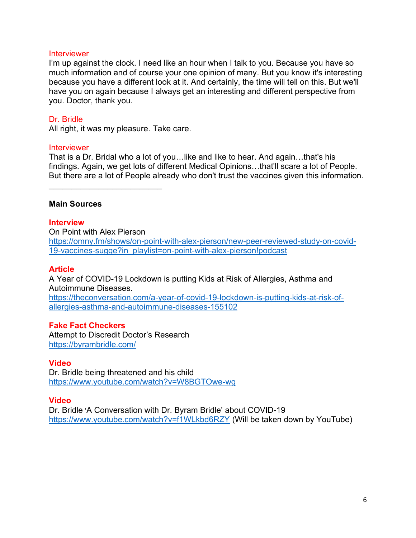#### Interviewer

I'm up against the clock. I need like an hour when I talk to you. Because you have so much information and of course your one opinion of many. But you know it's interesting because you have a different look at it. And certainly, the time will tell on this. But we'll have you on again because I always get an interesting and different perspective from you. Doctor, thank you.

## Dr. Bridle

All right, it was my pleasure. Take care.

\_\_\_\_\_\_\_\_\_\_\_\_\_\_\_\_\_\_\_\_\_\_\_\_\_

#### **Interviewer**

That is a Dr. Bridal who a lot of you…like and like to hear. And again…that's his findings. Again, we get lots of different Medical Opinions…that'll scare a lot of People. But there are a lot of People already who don't trust the vaccines given this information.

#### **Main Sources**

#### **Interview**

On Point with Alex Pierson [https://omny.fm/shows/on-point-with-alex-pierson/new-peer-reviewed-study-on-covid-](https://omny.fm/shows/on-point-with-alex-pierson/new-peer-reviewed-study-on-covid-19-vaccines-sugge?in_playlist=on-point-with-alex-pierson!podcast)[19-vaccines-sugge?in\\_playlist=on-point-with-alex-pierson!podcast](https://omny.fm/shows/on-point-with-alex-pierson/new-peer-reviewed-study-on-covid-19-vaccines-sugge?in_playlist=on-point-with-alex-pierson!podcast)

#### **Article**

A Year of COVID-19 Lockdown is putting Kids at Risk of Allergies, Asthma and Autoimmune Diseases. [https://theconversation.com/a-year-of-covid-19-lockdown-is-putting-kids-at-risk-of](https://theconversation.com/a-year-of-covid-19-lockdown-is-putting-kids-at-risk-of-allergies-asthma-and-autoimmune-diseases-155102)[allergies-asthma-and-autoimmune-diseases-155102](https://theconversation.com/a-year-of-covid-19-lockdown-is-putting-kids-at-risk-of-allergies-asthma-and-autoimmune-diseases-155102)

#### **Fake Fact Checkers**

Attempt to Discredit Doctor's Research <https://byrambridle.com/>

#### **Video**

Dr. Bridle being threatened and his child <https://www.youtube.com/watch?v=W8BGTOwe-wg>

#### **Video**

Dr. Bridle 'A Conversation with Dr. Byram Bridle' about COVID-19 <https://www.youtube.com/watch?v=f1WLkbd6RZY> (Will be taken down by YouTube)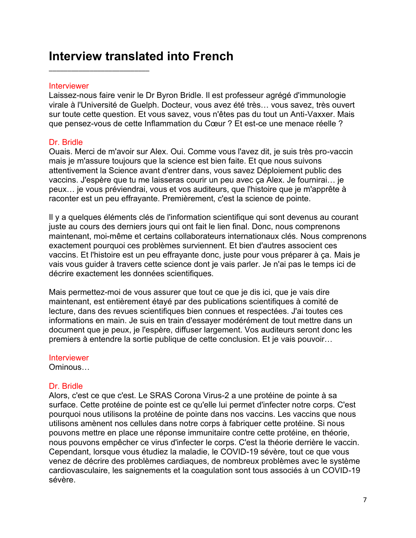## **Interview translated into French**

#### **Interviewer**

\_\_\_\_\_\_\_\_\_\_\_\_\_\_\_\_\_\_\_\_\_\_\_\_\_\_\_

Laissez-nous faire venir le Dr Byron Bridle. Il est professeur agrégé d'immunologie virale à l'Université de Guelph. Docteur, vous avez été très… vous savez, très ouvert sur toute cette question. Et vous savez, vous n'êtes pas du tout un Anti-Vaxxer. Mais que pensez-vous de cette Inflammation du Cœur ? Et est-ce une menace réelle ?

## Dr. Bridle

Ouais. Merci de m'avoir sur Alex. Oui. Comme vous l'avez dit, je suis très pro-vaccin mais je m'assure toujours que la science est bien faite. Et que nous suivons attentivement la Science avant d'entrer dans, vous savez Déploiement public des vaccins. J'espère que tu me laisseras courir un peu avec ça Alex. Je fournirai… je peux… je vous préviendrai, vous et vos auditeurs, que l'histoire que je m'apprête à raconter est un peu effrayante. Premièrement, c'est la science de pointe.

Il y a quelques éléments clés de l'information scientifique qui sont devenus au courant juste au cours des derniers jours qui ont fait le lien final. Donc, nous comprenons maintenant, moi-même et certains collaborateurs internationaux clés. Nous comprenons exactement pourquoi ces problèmes surviennent. Et bien d'autres associent ces vaccins. Et l'histoire est un peu effrayante donc, juste pour vous préparer à ça. Mais je vais vous guider à travers cette science dont je vais parler. Je n'ai pas le temps ici de décrire exactement les données scientifiques.

Mais permettez-moi de vous assurer que tout ce que je dis ici, que je vais dire maintenant, est entièrement étayé par des publications scientifiques à comité de lecture, dans des revues scientifiques bien connues et respectées. J'ai toutes ces informations en main. Je suis en train d'essayer modérément de tout mettre dans un document que je peux, je l'espère, diffuser largement. Vos auditeurs seront donc les premiers à entendre la sortie publique de cette conclusion. Et je vais pouvoir…

**Interviewer** Ominous…

## Dr. Bridle

Alors, c'est ce que c'est. Le SRAS Corona Virus-2 a une protéine de pointe à sa surface. Cette protéine de pointe est ce qu'elle lui permet d'infecter notre corps. C'est pourquoi nous utilisons la protéine de pointe dans nos vaccins. Les vaccins que nous utilisons amènent nos cellules dans notre corps à fabriquer cette protéine. Si nous pouvons mettre en place une réponse immunitaire contre cette protéine, en théorie, nous pouvons empêcher ce virus d'infecter le corps. C'est la théorie derrière le vaccin. Cependant, lorsque vous étudiez la maladie, le COVID-19 sévère, tout ce que vous venez de décrire des problèmes cardiaques, de nombreux problèmes avec le système cardiovasculaire, les saignements et la coagulation sont tous associés à un COVID-19 sévère.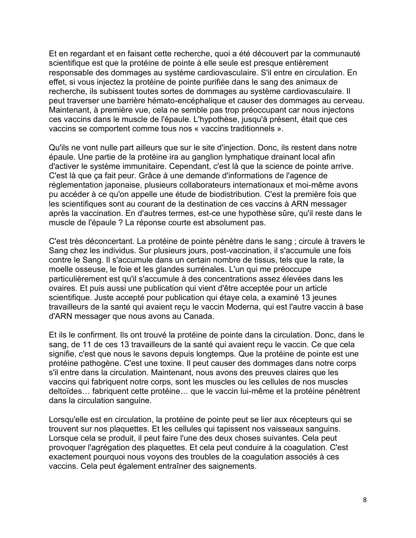Et en regardant et en faisant cette recherche, quoi a été découvert par la communauté scientifique est que la protéine de pointe à elle seule est presque entièrement responsable des dommages au système cardiovasculaire. S'il entre en circulation. En effet, si vous injectez la protéine de pointe purifiée dans le sang des animaux de recherche, ils subissent toutes sortes de dommages au système cardiovasculaire. Il peut traverser une barrière hémato-encéphalique et causer des dommages au cerveau. Maintenant, à première vue, cela ne semble pas trop préoccupant car nous injectons ces vaccins dans le muscle de l'épaule. L'hypothèse, jusqu'à présent, était que ces vaccins se comportent comme tous nos « vaccins traditionnels ».

Qu'ils ne vont nulle part ailleurs que sur le site d'injection. Donc, ils restent dans notre épaule. Une partie de la protéine ira au ganglion lymphatique drainant local afin d'activer le système immunitaire. Cependant, c'est là que la science de pointe arrive. C'est là que ça fait peur. Grâce à une demande d'informations de l'agence de réglementation japonaise, plusieurs collaborateurs internationaux et moi-même avons pu accéder à ce qu'on appelle une étude de biodistribution. C'est la première fois que les scientifiques sont au courant de la destination de ces vaccins à ARN messager après la vaccination. En d'autres termes, est-ce une hypothèse sûre, qu'il reste dans le muscle de l'épaule ? La réponse courte est absolument pas.

C'est très déconcertant. La protéine de pointe pénètre dans le sang ; circule à travers le Sang chez les individus. Sur plusieurs jours, post-vaccination, il s'accumule une fois contre le Sang. Il s'accumule dans un certain nombre de tissus, tels que la rate, la moelle osseuse, le foie et les glandes surrénales. L'un qui me préoccupe particulièrement est qu'il s'accumule à des concentrations assez élevées dans les ovaires. Et puis aussi une publication qui vient d'être acceptée pour un article scientifique. Juste accepté pour publication qui étaye cela, a examiné 13 jeunes travailleurs de la santé qui avaient reçu le vaccin Moderna, qui est l'autre vaccin à base d'ARN messager que nous avons au Canada.

Et ils le confirment. Ils ont trouvé la protéine de pointe dans la circulation. Donc, dans le sang, de 11 de ces 13 travailleurs de la santé qui avaient reçu le vaccin. Ce que cela signifie, c'est que nous le savons depuis longtemps. Que la protéine de pointe est une protéine pathogène. C'est une toxine. Il peut causer des dommages dans notre corps s'il entre dans la circulation. Maintenant, nous avons des preuves claires que les vaccins qui fabriquent notre corps, sont les muscles ou les cellules de nos muscles deltoïdes… fabriquent cette protéine… que le vaccin lui-même et la protéine pénètrent dans la circulation sanguine.

Lorsqu'elle est en circulation, la protéine de pointe peut se lier aux récepteurs qui se trouvent sur nos plaquettes. Et les cellules qui tapissent nos vaisseaux sanguins. Lorsque cela se produit, il peut faire l'une des deux choses suivantes. Cela peut provoquer l'agrégation des plaquettes. Et cela peut conduire à la coagulation. C'est exactement pourquoi nous voyons des troubles de la coagulation associés à ces vaccins. Cela peut également entraîner des saignements.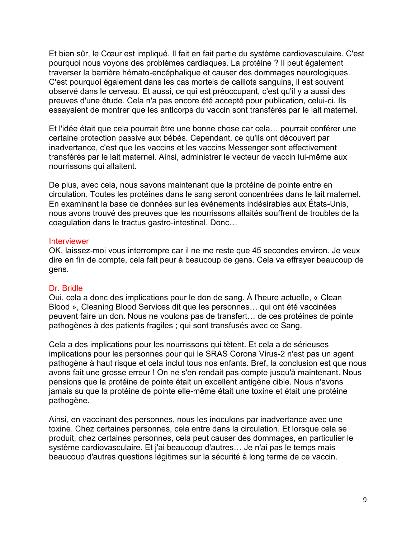Et bien sûr, le Cœur est impliqué. Il fait en fait partie du système cardiovasculaire. C'est pourquoi nous voyons des problèmes cardiaques. La protéine ? Il peut également traverser la barrière hémato-encéphalique et causer des dommages neurologiques. C'est pourquoi également dans les cas mortels de caillots sanguins, il est souvent observé dans le cerveau. Et aussi, ce qui est préoccupant, c'est qu'il y a aussi des preuves d'une étude. Cela n'a pas encore été accepté pour publication, celui-ci. Ils essayaient de montrer que les anticorps du vaccin sont transférés par le lait maternel.

Et l'idée était que cela pourrait être une bonne chose car cela… pourrait conférer une certaine protection passive aux bébés. Cependant, ce qu'ils ont découvert par inadvertance, c'est que les vaccins et les vaccins Messenger sont effectivement transférés par le lait maternel. Ainsi, administrer le vecteur de vaccin lui-même aux nourrissons qui allaitent.

De plus, avec cela, nous savons maintenant que la protéine de pointe entre en circulation. Toutes les protéines dans le sang seront concentrées dans le lait maternel. En examinant la base de données sur les événements indésirables aux États-Unis, nous avons trouvé des preuves que les nourrissons allaités souffrent de troubles de la coagulation dans le tractus gastro-intestinal. Donc…

#### **Interviewer**

OK, laissez-moi vous interrompre car il ne me reste que 45 secondes environ. Je veux dire en fin de compte, cela fait peur à beaucoup de gens. Cela va effrayer beaucoup de gens.

## Dr. Bridle

Oui, cela a donc des implications pour le don de sang. À l'heure actuelle, « Clean Blood », Cleaning Blood Services dit que les personnes… qui ont été vaccinées peuvent faire un don. Nous ne voulons pas de transfert… de ces protéines de pointe pathogènes à des patients fragiles ; qui sont transfusés avec ce Sang.

Cela a des implications pour les nourrissons qui tètent. Et cela a de sérieuses implications pour les personnes pour qui le SRAS Corona Virus-2 n'est pas un agent pathogène à haut risque et cela inclut tous nos enfants. Bref, la conclusion est que nous avons fait une grosse erreur ! On ne s'en rendait pas compte jusqu'à maintenant. Nous pensions que la protéine de pointe était un excellent antigène cible. Nous n'avons jamais su que la protéine de pointe elle-même était une toxine et était une protéine pathogène.

Ainsi, en vaccinant des personnes, nous les inoculons par inadvertance avec une toxine. Chez certaines personnes, cela entre dans la circulation. Et lorsque cela se produit, chez certaines personnes, cela peut causer des dommages, en particulier le système cardiovasculaire. Et j'ai beaucoup d'autres… Je n'ai pas le temps mais beaucoup d'autres questions légitimes sur la sécurité à long terme de ce vaccin.